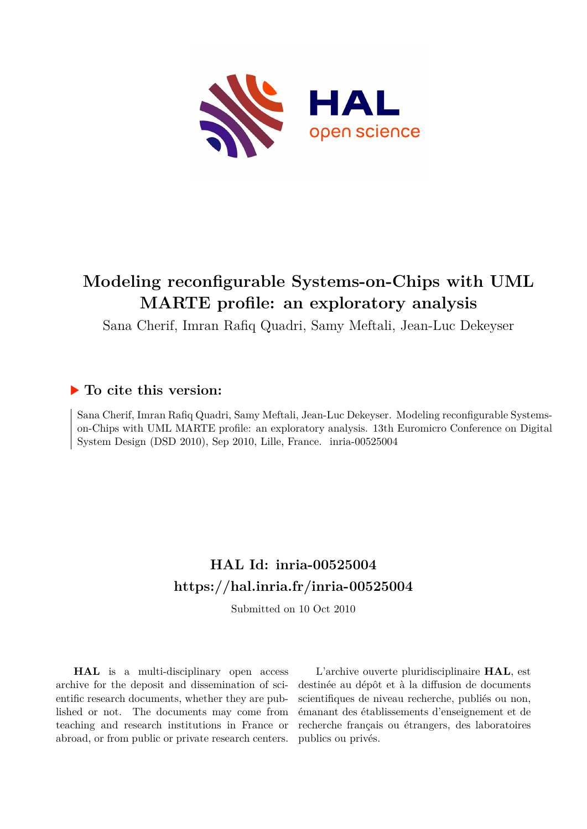

## **Modeling reconfigurable Systems-on-Chips with UML MARTE profile: an exploratory analysis**

Sana Cherif, Imran Rafiq Quadri, Samy Meftali, Jean-Luc Dekeyser

### **To cite this version:**

Sana Cherif, Imran Rafiq Quadri, Samy Meftali, Jean-Luc Dekeyser. Modeling reconfigurable Systemson-Chips with UML MARTE profile: an exploratory analysis. 13th Euromicro Conference on Digital System Design (DSD 2010), Sep 2010, Lille, France. inria-00525004

## **HAL Id: inria-00525004 <https://hal.inria.fr/inria-00525004>**

Submitted on 10 Oct 2010

**HAL** is a multi-disciplinary open access archive for the deposit and dissemination of scientific research documents, whether they are published or not. The documents may come from teaching and research institutions in France or abroad, or from public or private research centers.

L'archive ouverte pluridisciplinaire **HAL**, est destinée au dépôt et à la diffusion de documents scientifiques de niveau recherche, publiés ou non, émanant des établissements d'enseignement et de recherche français ou étrangers, des laboratoires publics ou privés.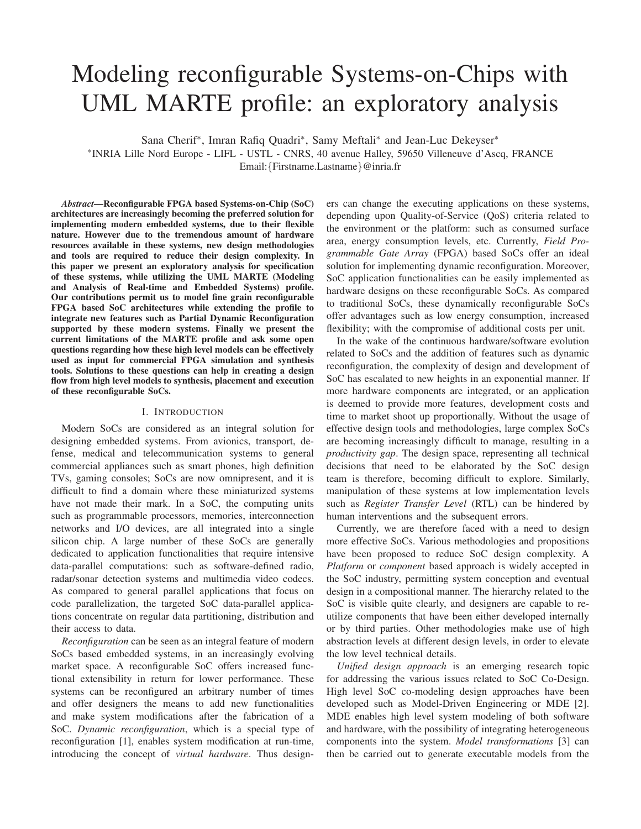# Modeling reconfigurable Systems-on-Chips with UML MARTE profile: an exploratory analysis

Sana Cherif∗, Imran Rafiq Quadri∗, Samy Meftali<sup>∗</sup> and Jean-Luc Dekeyser<sup>∗</sup>

<sup>∗</sup>INRIA Lille Nord Europe - LIFL - USTL - CNRS, 40 avenue Halley, 59650 Villeneuve d'Ascq, FRANCE Email:{Firstname.Lastname}@inria.fr

*Abstract***—Reconfigurable FPGA based Systems-on-Chip (SoC) architectures are increasingly becoming the preferred solution for implementing modern embedded systems, due to their flexible nature. However due to the tremendous amount of hardware resources available in these systems, new design methodologies and tools are required to reduce their design complexity. In this paper we present an exploratory analysis for specification of these systems, while utilizing the UML MARTE (Modeling and Analysis of Real-time and Embedded Systems) profile. Our contributions permit us to model fine grain reconfigurable FPGA based SoC architectures while extending the profile to integrate new features such as Partial Dynamic Reconfiguration supported by these modern systems. Finally we present the current limitations of the MARTE profile and ask some open questions regarding how these high level models can be effectively used as input for commercial FPGA simulation and synthesis tools. Solutions to these questions can help in creating a design flow from high level models to synthesis, placement and execution of these reconfigurable SoCs.**

#### I. INTRODUCTION

Modern SoCs are considered as an integral solution for designing embedded systems. From avionics, transport, defense, medical and telecommunication systems to general commercial appliances such as smart phones, high definition TVs, gaming consoles; SoCs are now omnipresent, and it is difficult to find a domain where these miniaturized systems have not made their mark. In a SoC, the computing units such as programmable processors, memories, interconnection networks and I/O devices, are all integrated into a single silicon chip. A large number of these SoCs are generally dedicated to application functionalities that require intensive data-parallel computations: such as software-defined radio, radar/sonar detection systems and multimedia video codecs. As compared to general parallel applications that focus on code parallelization, the targeted SoC data-parallel applications concentrate on regular data partitioning, distribution and their access to data.

*Reconfiguration* can be seen as an integral feature of modern SoCs based embedded systems, in an increasingly evolving market space. A reconfigurable SoC offers increased functional extensibility in return for lower performance. These systems can be reconfigured an arbitrary number of times and offer designers the means to add new functionalities and make system modifications after the fabrication of a SoC. *Dynamic reconfiguration*, which is a special type of reconfiguration [1], enables system modification at run-time, introducing the concept of *virtual hardware*. Thus designers can change the executing applications on these systems, depending upon Quality-of-Service (QoS) criteria related to the environment or the platform: such as consumed surface area, energy consumption levels, etc. Currently, *Field Programmable Gate Array* (FPGA) based SoCs offer an ideal solution for implementing dynamic reconfiguration. Moreover, SoC application functionalities can be easily implemented as hardware designs on these reconfigurable SoCs. As compared to traditional SoCs, these dynamically reconfigurable SoCs offer advantages such as low energy consumption, increased flexibility; with the compromise of additional costs per unit.

In the wake of the continuous hardware/software evolution related to SoCs and the addition of features such as dynamic reconfiguration, the complexity of design and development of SoC has escalated to new heights in an exponential manner. If more hardware components are integrated, or an application is deemed to provide more features, development costs and time to market shoot up proportionally. Without the usage of effective design tools and methodologies, large complex SoCs are becoming increasingly difficult to manage, resulting in a *productivity gap*. The design space, representing all technical decisions that need to be elaborated by the SoC design team is therefore, becoming difficult to explore. Similarly, manipulation of these systems at low implementation levels such as *Register Transfer Level* (RTL) can be hindered by human interventions and the subsequent errors.

Currently, we are therefore faced with a need to design more effective SoCs. Various methodologies and propositions have been proposed to reduce SoC design complexity. A *Platform* or *component* based approach is widely accepted in the SoC industry, permitting system conception and eventual design in a compositional manner. The hierarchy related to the SoC is visible quite clearly, and designers are capable to reutilize components that have been either developed internally or by third parties. Other methodologies make use of high abstraction levels at different design levels, in order to elevate the low level technical details.

*Unified design approach* is an emerging research topic for addressing the various issues related to SoC Co-Design. High level SoC co-modeling design approaches have been developed such as Model-Driven Engineering or MDE [2]. MDE enables high level system modeling of both software and hardware, with the possibility of integrating heterogeneous components into the system. *Model transformations* [3] can then be carried out to generate executable models from the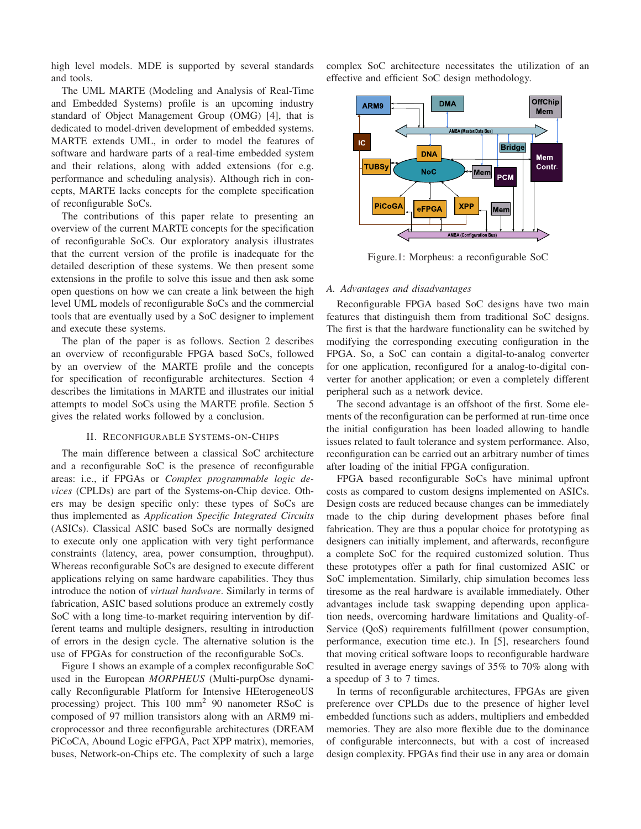high level models. MDE is supported by several standards and tools.

The UML MARTE (Modeling and Analysis of Real-Time and Embedded Systems) profile is an upcoming industry standard of Object Management Group (OMG) [4], that is dedicated to model-driven development of embedded systems. MARTE extends UML, in order to model the features of software and hardware parts of a real-time embedded system and their relations, along with added extensions (for e.g. performance and scheduling analysis). Although rich in concepts, MARTE lacks concepts for the complete specification of reconfigurable SoCs.

The contributions of this paper relate to presenting an overview of the current MARTE concepts for the specification of reconfigurable SoCs. Our exploratory analysis illustrates that the current version of the profile is inadequate for the detailed description of these systems. We then present some extensions in the profile to solve this issue and then ask some open questions on how we can create a link between the high level UML models of reconfigurable SoCs and the commercial tools that are eventually used by a SoC designer to implement and execute these systems.

The plan of the paper is as follows. Section 2 describes an overview of reconfigurable FPGA based SoCs, followed by an overview of the MARTE profile and the concepts for specification of reconfigurable architectures. Section 4 describes the limitations in MARTE and illustrates our initial attempts to model SoCs using the MARTE profile. Section 5 gives the related works followed by a conclusion.

#### II. RECONFIGURABLE SYSTEMS-ON-CHIPS

The main difference between a classical SoC architecture and a reconfigurable SoC is the presence of reconfigurable areas: i.e., if FPGAs or *Complex programmable logic devices* (CPLDs) are part of the Systems-on-Chip device. Others may be design specific only: these types of SoCs are thus implemented as *Application Specific Integrated Circuits* (ASICs). Classical ASIC based SoCs are normally designed to execute only one application with very tight performance constraints (latency, area, power consumption, throughput). Whereas reconfigurable SoCs are designed to execute different applications relying on same hardware capabilities. They thus introduce the notion of *virtual hardware*. Similarly in terms of fabrication, ASIC based solutions produce an extremely costly SoC with a long time-to-market requiring intervention by different teams and multiple designers, resulting in introduction of errors in the design cycle. The alternative solution is the use of FPGAs for construction of the reconfigurable SoCs.

Figure 1 shows an example of a complex reconfigurable SoC used in the European *MORPHEUS* (Multi-purpOse dynamically Reconfigurable Platform for Intensive HEterogeneoUS processing) project. This 100 mm<sup>2</sup> 90 nanometer RSoC is composed of 97 million transistors along with an ARM9 microprocessor and three reconfigurable architectures (DREAM PiCoCA, Abound Logic eFPGA, Pact XPP matrix), memories, buses, Network-on-Chips etc. The complexity of such a large complex SoC architecture necessitates the utilization of an effective and efficient SoC design methodology.



Figure.1: Morpheus: a reconfigurable SoC

#### *A. Advantages and disadvantages*

Reconfigurable FPGA based SoC designs have two main features that distinguish them from traditional SoC designs. The first is that the hardware functionality can be switched by modifying the corresponding executing configuration in the FPGA. So, a SoC can contain a digital-to-analog converter for one application, reconfigured for a analog-to-digital converter for another application; or even a completely different peripheral such as a network device.

The second advantage is an offshoot of the first. Some elements of the reconfiguration can be performed at run-time once the initial configuration has been loaded allowing to handle issues related to fault tolerance and system performance. Also, reconfiguration can be carried out an arbitrary number of times after loading of the initial FPGA configuration.

FPGA based reconfigurable SoCs have minimal upfront costs as compared to custom designs implemented on ASICs. Design costs are reduced because changes can be immediately made to the chip during development phases before final fabrication. They are thus a popular choice for prototyping as designers can initially implement, and afterwards, reconfigure a complete SoC for the required customized solution. Thus these prototypes offer a path for final customized ASIC or SoC implementation. Similarly, chip simulation becomes less tiresome as the real hardware is available immediately. Other advantages include task swapping depending upon application needs, overcoming hardware limitations and Quality-of-Service (QoS) requirements fulfillment (power consumption, performance, execution time etc.). In [5], researchers found that moving critical software loops to reconfigurable hardware resulted in average energy savings of 35% to 70% along with a speedup of 3 to 7 times.

In terms of reconfigurable architectures, FPGAs are given preference over CPLDs due to the presence of higher level embedded functions such as adders, multipliers and embedded memories. They are also more flexible due to the dominance of configurable interconnects, but with a cost of increased design complexity. FPGAs find their use in any area or domain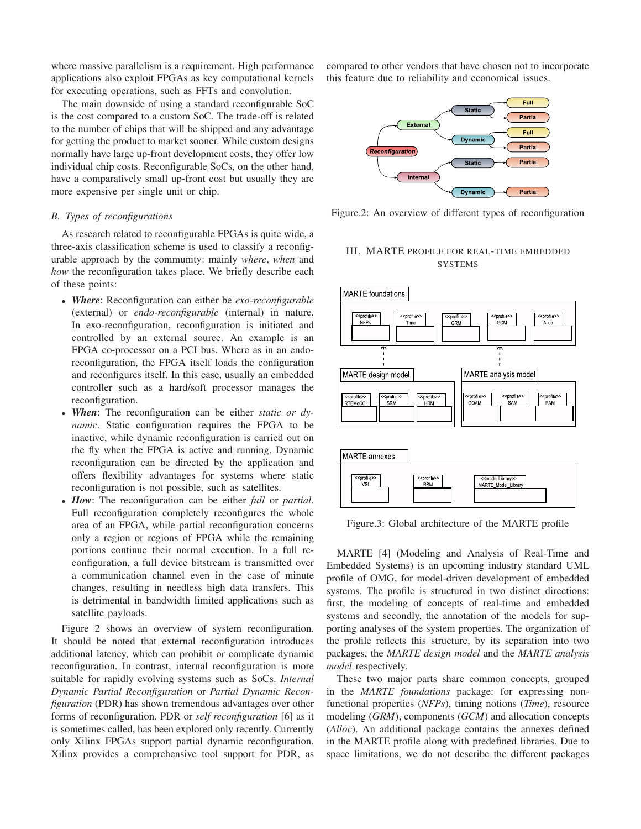where massive parallelism is a requirement. High performance applications also exploit FPGAs as key computational kernels for executing operations, such as FFTs and convolution.

The main downside of using a standard reconfigurable SoC is the cost compared to a custom SoC. The trade-off is related to the number of chips that will be shipped and any advantage for getting the product to market sooner. While custom designs normally have large up-front development costs, they offer low individual chip costs. Reconfigurable SoCs, on the other hand, have a comparatively small up-front cost but usually they are more expensive per single unit or chip.

#### *B. Types of reconfigurations*

As research related to reconfigurable FPGAs is quite wide, a three-axis classification scheme is used to classify a reconfigurable approach by the community: mainly *where*, *when* and *how* the reconfiguration takes place. We briefly describe each of these points:

- *Where*: Reconfiguration can either be *exo-reconfigurable* (external) or *endo-reconfigurable* (internal) in nature. In exo-reconfiguration, reconfiguration is initiated and controlled by an external source. An example is an FPGA co-processor on a PCI bus. Where as in an endoreconfiguration, the FPGA itself loads the configuration and reconfigures itself. In this case, usually an embedded controller such as a hard/soft processor manages the reconfiguration.
- *When*: The reconfiguration can be either *static or dynamic*. Static configuration requires the FPGA to be inactive, while dynamic reconfiguration is carried out on the fly when the FPGA is active and running. Dynamic reconfiguration can be directed by the application and offers flexibility advantages for systems where static reconfiguration is not possible, such as satellites.
- *How*: The reconfiguration can be either *full* or *partial*. Full reconfiguration completely reconfigures the whole area of an FPGA, while partial reconfiguration concerns only a region or regions of FPGA while the remaining portions continue their normal execution. In a full reconfiguration, a full device bitstream is transmitted over a communication channel even in the case of minute changes, resulting in needless high data transfers. This is detrimental in bandwidth limited applications such as satellite payloads.

Figure 2 shows an overview of system reconfiguration. It should be noted that external reconfiguration introduces additional latency, which can prohibit or complicate dynamic reconfiguration. In contrast, internal reconfiguration is more suitable for rapidly evolving systems such as SoCs. *Internal Dynamic Partial Reconfiguration* or *Partial Dynamic Reconfiguration* (PDR) has shown tremendous advantages over other forms of reconfiguration. PDR or *self reconfiguration* [6] as it is sometimes called, has been explored only recently. Currently only Xilinx FPGAs support partial dynamic reconfiguration. Xilinx provides a comprehensive tool support for PDR, as

compared to other vendors that have chosen not to incorporate this feature due to reliability and economical issues.



Figure.2: An overview of different types of reconfiguration

#### III. MARTE PROFILE FOR REAL-TIME EMBEDDED SYSTEMS



Figure.3: Global architecture of the MARTE profile

MARTE [4] (Modeling and Analysis of Real-Time and Embedded Systems) is an upcoming industry standard UML profile of OMG, for model-driven development of embedded systems. The profile is structured in two distinct directions: first, the modeling of concepts of real-time and embedded systems and secondly, the annotation of the models for supporting analyses of the system properties. The organization of the profile reflects this structure, by its separation into two packages, the *MARTE design model* and the *MARTE analysis model* respectively.

These two major parts share common concepts, grouped in the *MARTE foundations* package: for expressing nonfunctional properties (*NFPs*), timing notions (*Time*), resource modeling (*GRM*), components (*GCM*) and allocation concepts (*Alloc*). An additional package contains the annexes defined in the MARTE profile along with predefined libraries. Due to space limitations, we do not describe the different packages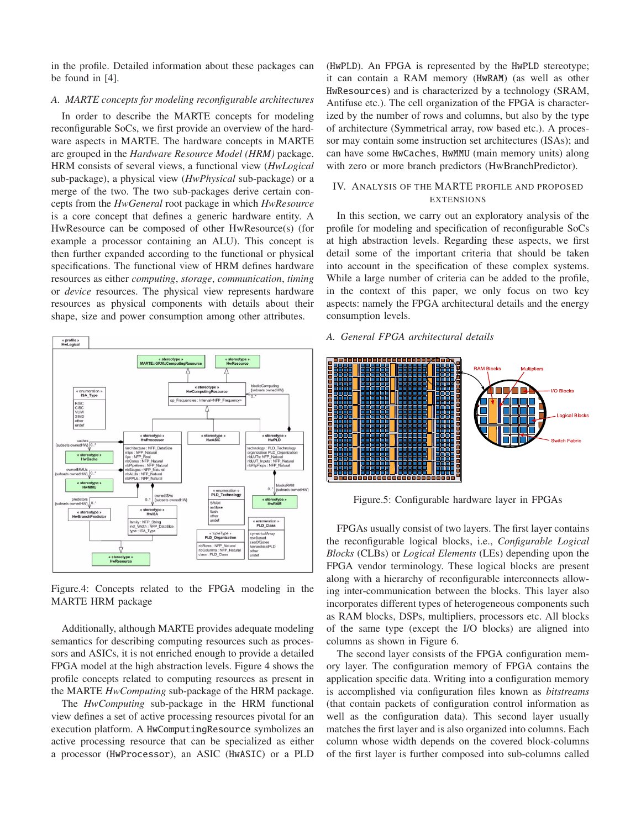in the profile. Detailed information about these packages can be found in [4].

#### *A. MARTE concepts for modeling reconfigurable architectures*

In order to describe the MARTE concepts for modeling reconfigurable SoCs, we first provide an overview of the hardware aspects in MARTE. The hardware concepts in MARTE are grouped in the *Hardware Resource Model (HRM)* package. HRM consists of several views, a functional view (*HwLogical* sub-package), a physical view (*HwPhysical* sub-package) or a merge of the two. The two sub-packages derive certain concepts from the *HwGeneral* root package in which *HwResource* is a core concept that defines a generic hardware entity. A HwResource can be composed of other HwResource(s) (for example a processor containing an ALU). This concept is then further expanded according to the functional or physical specifications. The functional view of HRM defines hardware resources as either *computing*, *storage*, *communication*, *timing* or *device* resources. The physical view represents hardware resources as physical components with details about their shape, size and power consumption among other attributes.



Figure.4: Concepts related to the FPGA modeling in the MARTE HRM package

Additionally, although MARTE provides adequate modeling semantics for describing computing resources such as processors and ASICs, it is not enriched enough to provide a detailed FPGA model at the high abstraction levels. Figure 4 shows the profile concepts related to computing resources as present in the MARTE *HwComputing* sub-package of the HRM package.

The *HwComputing* sub-package in the HRM functional view defines a set of active processing resources pivotal for an execution platform. A HwComputingResource symbolizes an active processing resource that can be specialized as either a processor (HwProcessor), an ASIC (HwASIC) or a PLD (HwPLD). An FPGA is represented by the HwPLD stereotype; it can contain a RAM memory (HwRAM) (as well as other HwResources) and is characterized by a technology (SRAM, Antifuse etc.). The cell organization of the FPGA is characterized by the number of rows and columns, but also by the type of architecture (Symmetrical array, row based etc.). A processor may contain some instruction set architectures (ISAs); and can have some HwCaches, HwMMU (main memory units) along with zero or more branch predictors (HwBranchPredictor).

#### IV. ANALYSIS OF THE MARTE PROFILE AND PROPOSED EXTENSIONS

In this section, we carry out an exploratory analysis of the profile for modeling and specification of reconfigurable SoCs at high abstraction levels. Regarding these aspects, we first detail some of the important criteria that should be taken into account in the specification of these complex systems. While a large number of criteria can be added to the profile, in the context of this paper, we only focus on two key aspects: namely the FPGA architectural details and the energy consumption levels.

#### *A. General FPGA architectural details*



Figure.5: Configurable hardware layer in FPGAs

FPGAs usually consist of two layers. The first layer contains the reconfigurable logical blocks, i.e., *Configurable Logical Blocks* (CLBs) or *Logical Elements* (LEs) depending upon the FPGA vendor terminology. These logical blocks are present along with a hierarchy of reconfigurable interconnects allowing inter-communication between the blocks. This layer also incorporates different types of heterogeneous components such as RAM blocks, DSPs, multipliers, processors etc. All blocks of the same type (except the I/O blocks) are aligned into columns as shown in Figure 6.

The second layer consists of the FPGA configuration memory layer. The configuration memory of FPGA contains the application specific data. Writing into a configuration memory is accomplished via configuration files known as *bitstreams* (that contain packets of configuration control information as well as the configuration data). This second layer usually matches the first layer and is also organized into columns. Each column whose width depends on the covered block-columns of the first layer is further composed into sub-columns called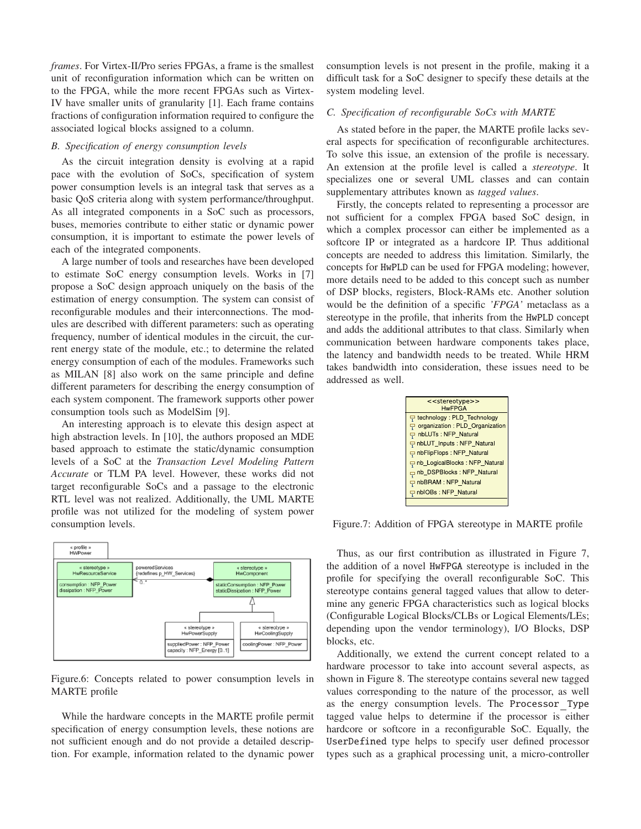*frames*. For Virtex-II/Pro series FPGAs, a frame is the smallest unit of reconfiguration information which can be written on to the FPGA, while the more recent FPGAs such as Virtex-IV have smaller units of granularity [1]. Each frame contains fractions of configuration information required to configure the associated logical blocks assigned to a column.

#### *B. Specification of energy consumption levels*

As the circuit integration density is evolving at a rapid pace with the evolution of SoCs, specification of system power consumption levels is an integral task that serves as a basic QoS criteria along with system performance/throughput. As all integrated components in a SoC such as processors, buses, memories contribute to either static or dynamic power consumption, it is important to estimate the power levels of each of the integrated components.

A large number of tools and researches have been developed to estimate SoC energy consumption levels. Works in [7] propose a SoC design approach uniquely on the basis of the estimation of energy consumption. The system can consist of reconfigurable modules and their interconnections. The modules are described with different parameters: such as operating frequency, number of identical modules in the circuit, the current energy state of the module, etc.; to determine the related energy consumption of each of the modules. Frameworks such as MILAN [8] also work on the same principle and define different parameters for describing the energy consumption of each system component. The framework supports other power consumption tools such as ModelSim [9].

An interesting approach is to elevate this design aspect at high abstraction levels. In [10], the authors proposed an MDE based approach to estimate the static/dynamic consumption levels of a SoC at the *Transaction Level Modeling Pattern Accurate* or TLM PA level. However, these works did not target reconfigurable SoCs and a passage to the electronic RTL level was not realized. Additionally, the UML MARTE profile was not utilized for the modeling of system power consumption levels.



Figure.6: Concepts related to power consumption levels in MARTE profile

While the hardware concepts in the MARTE profile permit specification of energy consumption levels, these notions are not sufficient enough and do not provide a detailed description. For example, information related to the dynamic power

consumption levels is not present in the profile, making it a difficult task for a SoC designer to specify these details at the system modeling level.

#### *C. Specification of reconfigurable SoCs with MARTE*

As stated before in the paper, the MARTE profile lacks several aspects for specification of reconfigurable architectures. To solve this issue, an extension of the profile is necessary. An extension at the profile level is called a *stereotype*. It specializes one or several UML classes and can contain supplementary attributes known as *tagged values*.

Firstly, the concepts related to representing a processor are not sufficient for a complex FPGA based SoC design, in which a complex processor can either be implemented as a softcore IP or integrated as a hardcore IP. Thus additional concepts are needed to address this limitation. Similarly, the concepts for HwPLD can be used for FPGA modeling; however, more details need to be added to this concept such as number of DSP blocks, registers, Block-RAMs etc. Another solution would be the definition of a specific *'FPGA'* metaclass as a stereotype in the profile, that inherits from the HwPLD concept and adds the additional attributes to that class. Similarly when communication between hardware components takes place, the latency and bandwidth needs to be treated. While HRM takes bandwidth into consideration, these issues need to be addressed as well.



Figure.7: Addition of FPGA stereotype in MARTE profile

Thus, as our first contribution as illustrated in Figure 7, the addition of a novel HwFPGA stereotype is included in the profile for specifying the overall reconfigurable SoC. This stereotype contains general tagged values that allow to determine any generic FPGA characteristics such as logical blocks (Configurable Logical Blocks/CLBs or Logical Elements/LEs; depending upon the vendor terminology), I/O Blocks, DSP blocks, etc.

Additionally, we extend the current concept related to a hardware processor to take into account several aspects, as shown in Figure 8. The stereotype contains several new tagged values corresponding to the nature of the processor, as well as the energy consumption levels. The Processor Type tagged value helps to determine if the processor is either hardcore or softcore in a reconfigurable SoC. Equally, the UserDefined type helps to specify user defined processor types such as a graphical processing unit, a micro-controller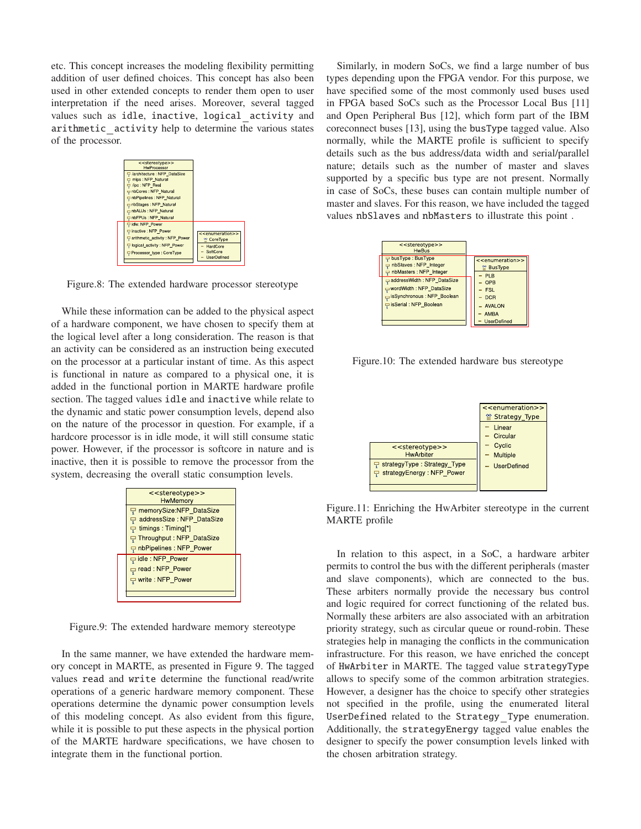etc. This concept increases the modeling flexibility permitting addition of user defined choices. This concept has also been used in other extended concepts to render them open to user interpretation if the need arises. Moreover, several tagged values such as idle, inactive, logical activity and arithmetic activity help to determine the various states of the processor.



Figure.8: The extended hardware processor stereotype

While these information can be added to the physical aspect of a hardware component, we have chosen to specify them at the logical level after a long consideration. The reason is that an activity can be considered as an instruction being executed on the processor at a particular instant of time. As this aspect is functional in nature as compared to a physical one, it is added in the functional portion in MARTE hardware profile section. The tagged values idle and inactive while relate to the dynamic and static power consumption levels, depend also on the nature of the processor in question. For example, if a hardcore processor is in idle mode, it will still consume static power. However, if the processor is softcore in nature and is inactive, then it is possible to remove the processor from the system, decreasing the overall static consumption levels.

| < <stereotype>&gt;<br/><b>HwMemory</b></stereotype>                                                              |
|------------------------------------------------------------------------------------------------------------------|
| P memorySize:NFP DataSize<br>addressSize: NFP_DataSize<br>$\Box$ timings : Timing[*]<br>Throughput: NFP_DataSize |
| phPipelines: NFP Power                                                                                           |
| pidle: NFP_Power<br>read: NFP_Power<br>write: NFP_Power                                                          |
|                                                                                                                  |

Figure.9: The extended hardware memory stereotype

In the same manner, we have extended the hardware memory concept in MARTE, as presented in Figure 9. The tagged values read and write determine the functional read/write operations of a generic hardware memory component. These operations determine the dynamic power consumption levels of this modeling concept. As also evident from this figure, while it is possible to put these aspects in the physical portion of the MARTE hardware specifications, we have chosen to integrate them in the functional portion.

Similarly, in modern SoCs, we find a large number of bus types depending upon the FPGA vendor. For this purpose, we have specified some of the most commonly used buses used in FPGA based SoCs such as the Processor Local Bus [11] and Open Peripheral Bus [12], which form part of the IBM coreconnect buses [13], using the busType tagged value. Also normally, while the MARTE profile is sufficient to specify details such as the bus address/data width and serial/parallel nature; details such as the number of master and slaves supported by a specific bus type are not present. Normally in case of SoCs, these buses can contain multiple number of master and slaves. For this reason, we have included the tagged values nbSlaves and nbMasters to illustrate this point .

| < <stereotype>&gt;<br/><b>HwBus</b></stereotype>                                                               |                                                                                       |
|----------------------------------------------------------------------------------------------------------------|---------------------------------------------------------------------------------------|
| $\frac{1}{2}$ busType : BusType<br>nbSlaves: NFP_Integer<br>ç<br>nbMasters: NFP Integer<br>ç                   | < <enumeration>&gt;<br/>≌ BusType<br/>PI<sub>B</sub></enumeration>                    |
| addressWidth: NFP_DataSize<br>wordWidth: NFP DataSize<br>isSynchronous : NFP_Boolean<br>pisSerial: NFP_Boolean | OPB<br><b>FSL</b><br><b>DCR</b><br><b>AVALON</b><br><b>AMRA</b><br><b>UserDefined</b> |

Figure.10: The extended hardware bus stereotype



Figure.11: Enriching the HwArbiter stereotype in the current MARTE profile

In relation to this aspect, in a SoC, a hardware arbiter permits to control the bus with the different peripherals (master and slave components), which are connected to the bus. These arbiters normally provide the necessary bus control and logic required for correct functioning of the related bus. Normally these arbiters are also associated with an arbitration priority strategy, such as circular queue or round-robin. These strategies help in managing the conflicts in the communication infrastructure. For this reason, we have enriched the concept of HwArbiter in MARTE. The tagged value strategyType allows to specify some of the common arbitration strategies. However, a designer has the choice to specify other strategies not specified in the profile, using the enumerated literal UserDefined related to the Strategy Type enumeration. Additionally, the strategyEnergy tagged value enables the designer to specify the power consumption levels linked with the chosen arbitration strategy.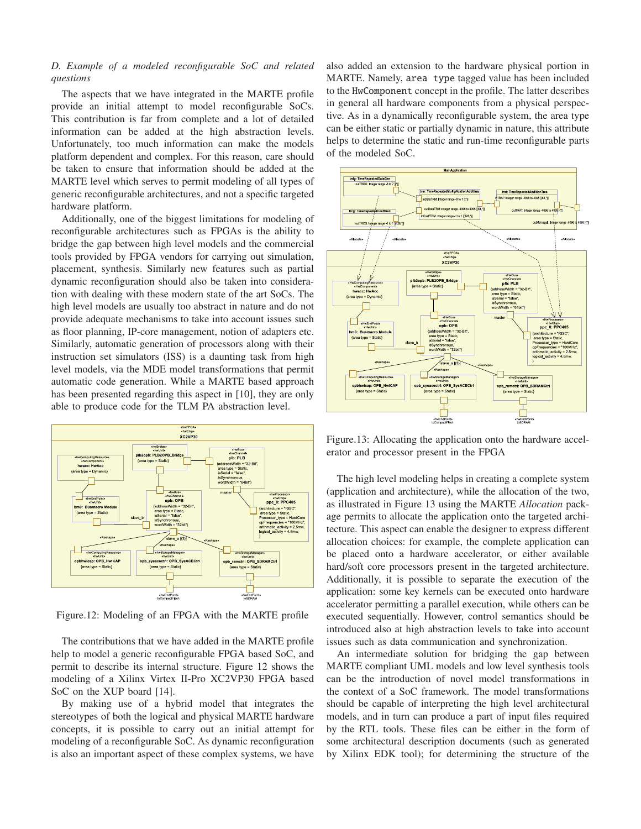#### *D. Example of a modeled reconfigurable SoC and related questions*

The aspects that we have integrated in the MARTE profile provide an initial attempt to model reconfigurable SoCs. This contribution is far from complete and a lot of detailed information can be added at the high abstraction levels. Unfortunately, too much information can make the models platform dependent and complex. For this reason, care should be taken to ensure that information should be added at the MARTE level which serves to permit modeling of all types of generic reconfigurable architectures, and not a specific targeted hardware platform.

Additionally, one of the biggest limitations for modeling of reconfigurable architectures such as FPGAs is the ability to bridge the gap between high level models and the commercial tools provided by FPGA vendors for carrying out simulation, placement, synthesis. Similarly new features such as partial dynamic reconfiguration should also be taken into consideration with dealing with these modern state of the art SoCs. The high level models are usually too abstract in nature and do not provide adequate mechanisms to take into account issues such as floor planning, IP-core management, notion of adapters etc. Similarly, automatic generation of processors along with their instruction set simulators (ISS) is a daunting task from high level models, via the MDE model transformations that permit automatic code generation. While a MARTE based approach has been presented regarding this aspect in [10], they are only able to produce code for the TLM PA abstraction level.



Figure.12: Modeling of an FPGA with the MARTE profile

The contributions that we have added in the MARTE profile help to model a generic reconfigurable FPGA based SoC, and permit to describe its internal structure. Figure 12 shows the modeling of a Xilinx Virtex II-Pro XC2VP30 FPGA based SoC on the XUP board [14].

By making use of a hybrid model that integrates the stereotypes of both the logical and physical MARTE hardware concepts, it is possible to carry out an initial attempt for modeling of a reconfigurable SoC. As dynamic reconfiguration is also an important aspect of these complex systems, we have also added an extension to the hardware physical portion in MARTE. Namely, area type tagged value has been included to the HwComponent concept in the profile. The latter describes in general all hardware components from a physical perspective. As in a dynamically reconfigurable system, the area type can be either static or partially dynamic in nature, this attribute helps to determine the static and run-time reconfigurable parts of the modeled SoC.



Figure.13: Allocating the application onto the hardware accelerator and processor present in the FPGA

The high level modeling helps in creating a complete system (application and architecture), while the allocation of the two, as illustrated in Figure 13 using the MARTE *Allocation* package permits to allocate the application onto the targeted architecture. This aspect can enable the designer to express different allocation choices: for example, the complete application can be placed onto a hardware accelerator, or either available hard/soft core processors present in the targeted architecture. Additionally, it is possible to separate the execution of the application: some key kernels can be executed onto hardware accelerator permitting a parallel execution, while others can be executed sequentially. However, control semantics should be introduced also at high abstraction levels to take into account issues such as data communication and synchronization.

An intermediate solution for bridging the gap between MARTE compliant UML models and low level synthesis tools can be the introduction of novel model transformations in the context of a SoC framework. The model transformations should be capable of interpreting the high level architectural models, and in turn can produce a part of input files required by the RTL tools. These files can be either in the form of some architectural description documents (such as generated by Xilinx EDK tool); for determining the structure of the